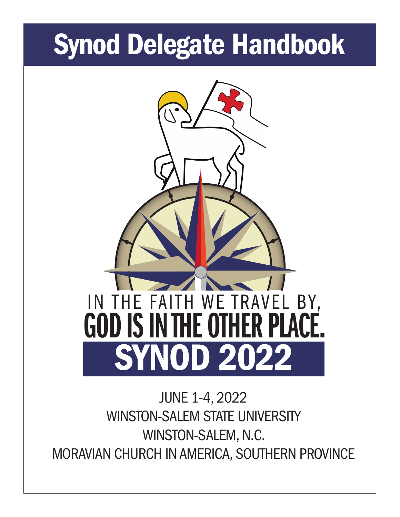# Synod Delegate Handbook



JUNE 1-4, 2022 WINSTON-SALEM STATE UNIVERSITY WINSTON-SALEM, N.C. MORAVIAN CHURCH IN AMERICA, SOUTHERN PROVINCE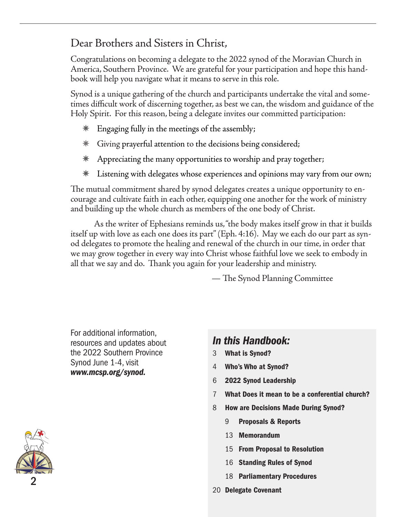# Dear Brothers and Sisters in Christ,

Congratulations on becoming a delegate to the 2022 synod of the Moravian Church in America, Southern Province. We are grateful for your participation and hope this handbook will help you navigate what it means to serve in this role.

Synod is a unique gathering of the church and participants undertake the vital and sometimes difficult work of discerning together, as best we can, the wisdom and guidance of the Holy Spirit. For this reason, being a delegate invites our committed participation:

- ✵ Engaging fully in the meetings of the assembly;
- ✵ Giving prayerful attention to the decisions being considered;
- ✵ Appreciating the many opportunities to worship and pray together;
- ✵ Listening with delegates whose experiences and opinions may vary from our own;

The mutual commitment shared by synod delegates creates a unique opportunity to encourage and cultivate faith in each other, equipping one another for the work of ministry and building up the whole church as members of the one body of Christ.

As the writer of Ephesians reminds us, "the body makes itself grow in that it builds itself up with love as each one does its part" (Eph. 4:16). May we each do our part as synod delegates to promote the healing and renewal of the church in our time, in order that we may grow together in every way into Christ whose faithful love we seek to embody in all that we say and do. Thank you again for your leadership and ministry.

— The Synod Planning Committee

For additional information, resources and updates about the 2022 Southern Province Synod June 1-4, visit *www.mcsp.org/synod.*



# *In this Handbook:*

- 3 What is Synod?
- 4 Who's Who at Synod?
- 6 2022 Synod Leadership
- 7 What Does it mean to be a conferential church?
- 8 How are Decisions Made During Synod?
	- 9 Proposals & Reports
	- 13 Memorandum
	- 15 From Proposal to Resolution
	- 16 Standing Rules of Synod
	- 18 Parliamentary Procedures
- 20 Delegate Covenant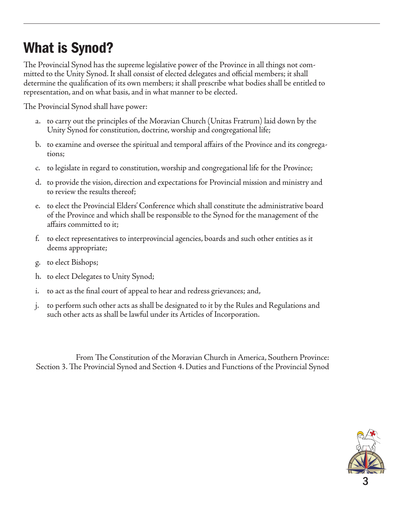# What is Synod?

The Provincial Synod has the supreme legislative power of the Province in all things not committed to the Unity Synod. It shall consist of elected delegates and official members; it shall determine the qualification of its own members; it shall prescribe what bodies shall be entitled to representation, and on what basis, and in what manner to be elected.

The Provincial Synod shall have power:

- a. to carry out the principles of the Moravian Church (Unitas Fratrum) laid down by the Unity Synod for constitution, doctrine, worship and congregational life;
- b. to examine and oversee the spiritual and temporal affairs of the Province and its congregations;
- c. to legislate in regard to constitution, worship and congregational life for the Province;
- d. to provide the vision, direction and expectations for Provincial mission and ministry and to review the results thereof;
- e. to elect the Provincial Elders' Conference which shall constitute the administrative board of the Province and which shall be responsible to the Synod for the management of the affairs committed to it;
- f. to elect representatives to interprovincial agencies, boards and such other entities as it deems appropriate;
- g. to elect Bishops;
- h. to elect Delegates to Unity Synod;
- i. to act as the final court of appeal to hear and redress grievances; and,
- j. to perform such other acts as shall be designated to it by the Rules and Regulations and such other acts as shall be lawful under its Articles of Incorporation.

From The Constitution of the Moravian Church in America, Southern Province: Section 3. The Provincial Synod and Section 4. Duties and Functions of the Provincial Synod

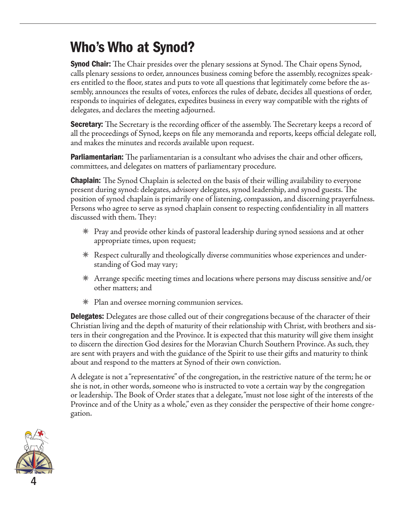# Who's Who at Synod?

**Synod Chair:** The Chair presides over the plenary sessions at Synod. The Chair opens Synod, calls plenary sessions to order, announces business coming before the assembly, recognizes speakers entitled to the floor, states and puts to vote all questions that legitimately come before the assembly, announces the results of votes, enforces the rules of debate, decides all questions of order, responds to inquiries of delegates, expedites business in every way compatible with the rights of delegates, and declares the meeting adjourned.

**Secretary:** The Secretary is the recording officer of the assembly. The Secretary keeps a record of all the proceedings of Synod, keeps on file any memoranda and reports, keeps official delegate roll, and makes the minutes and records available upon request.

**Parliamentarian:** The parliamentarian is a consultant who advises the chair and other officers, committees, and delegates on matters of parliamentary procedure.

**Chaplain:** The Synod Chaplain is selected on the basis of their willing availability to everyone present during synod: delegates, advisory delegates, synod leadership, and synod guests. The position of synod chaplain is primarily one of listening, compassion, and discerning prayerfulness. Persons who agree to serve as synod chaplain consent to respecting confidentiality in all matters discussed with them. They:

- ✵ Pray and provide other kinds of pastoral leadership during synod sessions and at other appropriate times, upon request;
- ✵ Respect culturally and theologically diverse communities whose experiences and understanding of God may vary;
- ✵ Arrange specific meeting times and locations where persons may discuss sensitive and/or other matters; and
- ✵ Plan and oversee morning communion services.

**Delegates:** Delegates are those called out of their congregations because of the character of their Christian living and the depth of maturity of their relationship with Christ, with brothers and sisters in their congregation and the Province. It is expected that this maturity will give them insight to discern the direction God desires for the Moravian Church Southern Province. As such, they are sent with prayers and with the guidance of the Spirit to use their gifts and maturity to think about and respond to the matters at Synod of their own conviction.

A delegate is not a "representative" of the congregation, in the restrictive nature of the term; he or she is not, in other words, someone who is instructed to vote a certain way by the congregation or leadership. The Book of Order states that a delegate, "must not lose sight of the interests of the Province and of the Unity as a whole," even as they consider the perspective of their home congregation.

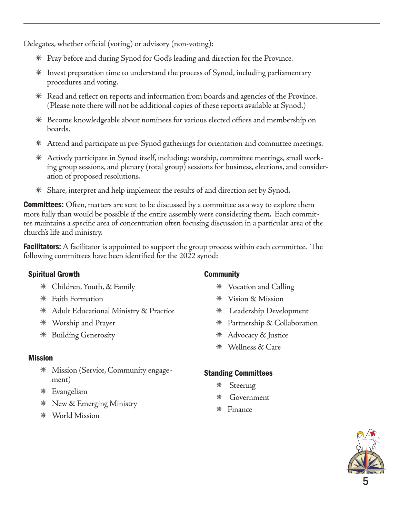Delegates, whether official (voting) or advisory (non-voting):

- ✵ Pray before and during Synod for God's leading and direction for the Province.
- ✵ Invest preparation time to understand the process of Synod, including parliamentary procedures and voting.
- ✵ Read and reflect on reports and information from boards and agencies of the Province. (Please note there will not be additional copies of these reports available at Synod.)
- ✵ Become knowledgeable about nominees for various elected offices and membership on boards.
- ✵ Attend and participate in pre-Synod gatherings for orientation and committee meetings.
- ✵ Actively participate in Synod itself, including: worship, committee meetings, small working group sessions, and plenary (total group) sessions for business, elections, and consideration of proposed resolutions.
- ✵ Share, interpret and help implement the results of and direction set by Synod.

**Committees:** Often, matters are sent to be discussed by a committee as a way to explore them more fully than would be possible if the entire assembly were considering them. Each committee maintains a specific area of concentration often focusing discussion in a particular area of the church's life and ministry.

**Facilitators:** A facilitator is appointed to support the group process within each committee. The following committees have been identified for the 2022 synod:

# Spiritual Growth

- ✵ Children, Youth, & Family
- ✵ Faith Formation
- ✵ Adult Educational Ministry & Practice
- ✵ Worship and Prayer
- ✵ Building Generosity

# Mission

- ✵ Mission (Service, Community engagement)
- ✵ Evangelism
- ✵ New & Emerging Ministry
- ✵ World Mission

# **Community**

- ✵ Vocation and Calling
- ✵ Vision & Mission
- ✵ Leadership Development
- ✵ Partnership & Collaboration
- ✵ Advocacy & Justice
- ✵ Wellness & Care

# Standing Committees

- ✵ Steering
- **Government**
- ✵ Finance

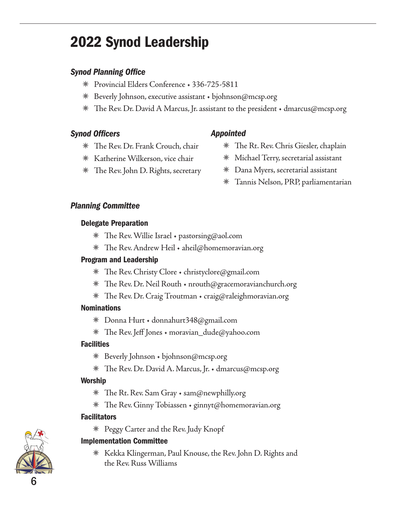# 2022 Synod Leadership

# *Synod Planning Office*

- ✵ Provincial Elders Conference 336-725-5811
- ✵ Beverly Johnson, executive assistant bjohnson@mcsp.org
- ✵ The Rev. Dr. David A Marcus, Jr. assistant to the president dmarcus@mcsp.org

#### *Synod Officers*

# *Appointed*

- ✵ The Rev. Dr. Frank Crouch, chair
- ✵ Katherine Wilkerson, vice chair
- ✵ The Rev. John D. Rights, secretary
- ✵ The Rt. Rev. Chris Giesler, chaplain
- ✵ Michael Terry, secretarial assistant
- ✵ Dana Myers, secretarial assistant
- ✵ Tannis Nelson, PRP, parliamentarian

# *Planning Committee*

#### Delegate Preparation

- ✵ The Rev. Willie Israel pastorsing@aol.com
- ✵ The Rev. Andrew Heil aheil@homemoravian.org

#### Program and Leadership

- ✵ The Rev. Christy Clore christyclore@gmail.com
- ✵ The Rev. Dr. Neil Routh nrouth@gracemoravianchurch.org
- ✵ The Rev. Dr. Craig Troutman craig@raleighmoravian.org

# Nominations

- ✵ Donna Hurt donnahurt348@gmail.com
- ✵ The Rev. Jeff Jones moravian\_dude@yahoo.com

# **Facilities**

- ✵ Beverly Johnson bjohnson@mcsp.org
- ✵ The Rev. Dr. David A. Marcus, Jr. dmarcus@mcsp.org

#### **Worship**

- ✵ The Rt. Rev. Sam Gray sam@newphilly.org
- ✵ The Rev. Ginny Tobiassen ginnyt@homemoravian.org

# **Facilitators**

✵ Peggy Carter and the Rev. Judy Knopf

# Implementation Committee

✵ Kekka Klingerman, Paul Knouse, the Rev. John D. Rights and the Rev. Russ Williams

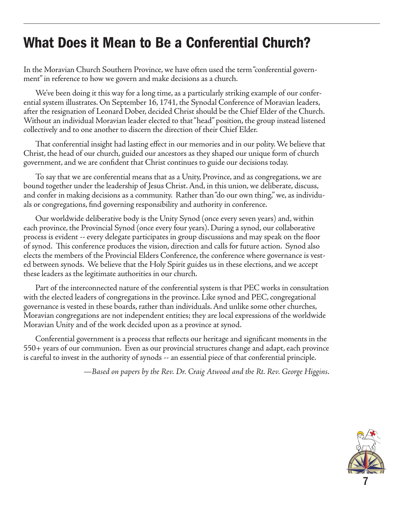# What Does it Mean to Be a Conferential Church?

In the Moravian Church Southern Province, we have often used the term "conferential government" in reference to how we govern and make decisions as a church.

We've been doing it this way for a long time, as a particularly striking example of our conferential system illustrates. On September 16, 1741, the Synodal Conference of Moravian leaders, after the resignation of Leonard Dober, decided Christ should be the Chief Elder of the Church. Without an individual Moravian leader elected to that "head" position, the group instead listened collectively and to one another to discern the direction of their Chief Elder.

That conferential insight had lasting effect in our memories and in our polity. We believe that Christ, the head of our church, guided our ancestors as they shaped our unique form of church government, and we are confident that Christ continues to guide our decisions today.

To say that we are conferential means that as a Unity, Province, and as congregations, we are bound together under the leadership of Jesus Christ. And, in this union, we deliberate, discuss, and confer in making decisions as a community. Rather than "do our own thing," we, as individuals or congregations, find governing responsibility and authority in conference.

Our worldwide deliberative body is the Unity Synod (once every seven years) and, within each province, the Provincial Synod (once every four years). During a synod, our collaborative process is evident -- every delegate participates in group discussions and may speak on the floor of synod. This conference produces the vision, direction and calls for future action. Synod also elects the members of the Provincial Elders Conference, the conference where governance is vested between synods. We believe that the Holy Spirit guides us in these elections, and we accept these leaders as the legitimate authorities in our church.

Part of the interconnected nature of the conferential system is that PEC works in consultation with the elected leaders of congregations in the province. Like synod and PEC, congregational governance is vested in these boards, rather than individuals. And unlike some other churches, Moravian congregations are not independent entities; they are local expressions of the worldwide Moravian Unity and of the work decided upon as a province at synod.

Conferential government is a process that reflects our heritage and significant moments in the 550+ years of our communion. Even as our provincial structures change and adapt, each province is careful to invest in the authority of synods -- an essential piece of that conferential principle.

*—Based on papers by the Rev. Dr. Craig Atwood and the Rt. Rev. George Higgins*.

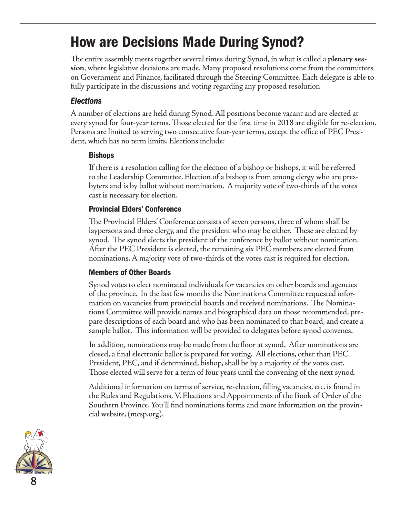# How are Decisions Made During Synod?

The entire assembly meets together several times during Synod, in what is called a **plenary session**, where legislative decisions are made. Many proposed resolutions come from the committees on Government and Finance, facilitated through the Steering Committee. Each delegate is able to fully participate in the discussions and voting regarding any proposed resolution.

# *Elections*

A number of elections are held during Synod. All positions become vacant and are elected at every synod for four-year terms. Those elected for the first time in 2018 are eligible for re-election. Persons are limited to serving two consecutive four-year terms, except the office of PEC President, which has no term limits. Elections include:

#### Bishops

If there is a resolution calling for the election of a bishop or bishops, it will be referred to the Leadership Committee. Election of a bishop is from among clergy who are presbyters and is by ballot without nomination. A majority vote of two-thirds of the votes cast is necessary for election.

# Provincial Elders' Conference

The Provincial Elders' Conference consists of seven persons, three of whom shall be laypersons and three clergy, and the president who may be either. These are elected by synod. The synod elects the president of the conference by ballot without nomination. After the PEC President is elected, the remaining six PEC members are elected from nominations. A majority vote of two-thirds of the votes cast is required for election.

# Members of Other Boards

Synod votes to elect nominated individuals for vacancies on other boards and agencies of the province. In the last few months the Nominations Committee requested information on vacancies from provincial boards and received nominations. The Nominations Committee will provide names and biographical data on those recommended, prepare descriptions of each board and who has been nominated to that board, and create a sample ballot. This information will be provided to delegates before synod convenes.

In addition, nominations may be made from the floor at synod. After nominations are closed, a final electronic ballot is prepared for voting. All elections, other than PEC President, PEC, and if determined, bishop, shall be by a majority of the votes cast. Those elected will serve for a term of four years until the convening of the next synod.

Additional information on terms of service, re-election, filling vacancies, etc. is found in the Rules and Regulations, V. Elections and Appointments of the Book of Order of the Southern Province. You'll find nominations forms and more information on the provincial website, (mcsp.org).

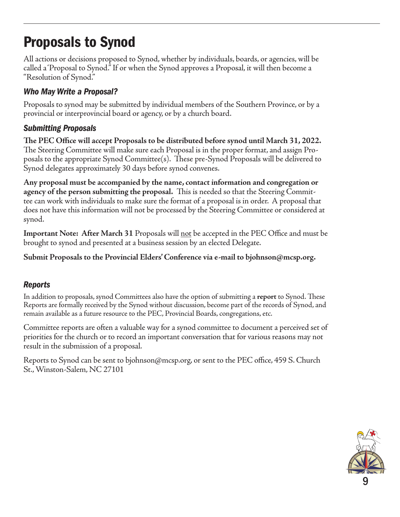# Proposals to Synod

All actions or decisions proposed to Synod, whether by individuals, boards, or agencies, will be called a 'Proposal to Synod." If or when the Synod approves a Proposal, it will then become a "Resolution of Synod."

# *Who May Write a Proposal?*

Proposals to synod may be submitted by individual members of the Southern Province, or by a provincial or interprovincial board or agency, or by a church board.

# *Submitting Proposals*

**The PEC Office will accept Proposals to be distributed before synod until March 31, 2022.** The Steering Committee will make sure each Proposal is in the proper format, and assign Proposals to the appropriate Synod Committee(s). These pre-Synod Proposals will be delivered to Synod delegates approximately 30 days before synod convenes.

**Any proposal must be accompanied by the name, contact information and congregation or agency of the person submitting the proposal.** This is needed so that the Steering Committee can work with individuals to make sure the format of a proposal is in order. A proposal that does not have this information will not be processed by the Steering Committee or considered at synod.

**Important Note: After March 31** Proposals will not be accepted in the PEC Office and must be brought to synod and presented at a business session by an elected Delegate.

**Submit Proposals to the Provincial Elders' Conference via e-mail to bjohnson@mcsp.org.**

# *Reports*

In addition to proposals, synod Committees also have the option of submitting a **report** to Synod. These Reports are formally received by the Synod without discussion, become part of the records of Synod, and remain available as a future resource to the PEC, Provincial Boards, congregations, etc.

Committee reports are often a valuable way for a synod committee to document a perceived set of priorities for the church or to record an important conversation that for various reasons may not result in the submission of a proposal.

Reports to Synod can be sent to bjohnson@mcsp.org, or sent to the PEC office, 459 S. Church St., Winston-Salem, NC 27101

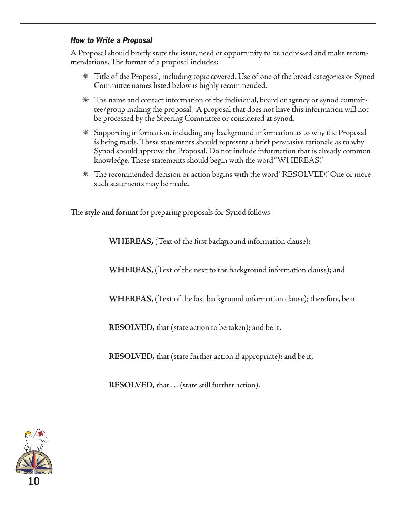# *How to Write a Proposal*

A Proposal should briefly state the issue, need or opportunity to be addressed and make recommendations. The format of a proposal includes:

- ✵ Title of the Proposal, including topic covered. Use of one of the broad categories or Synod Committee names listed below is highly recommended.
- ✵ The name and contact information of the individual, board or agency or synod committee/group making the proposal. A proposal that does not have this information will not be processed by the Steering Committee or considered at synod.
- ✵ Supporting information, including any background information as to why the Proposal is being made. These statements should represent a brief persuasive rationale as to why Synod should approve the Proposal. Do not include information that is already common knowledge. These statements should begin with the word "WHEREAS."
- ✵ The recommended decision or action begins with the word "RESOLVED." One or more such statements may be made.

The **style and format** for preparing proposals for Synod follows:

**WHEREAS,** (Text of the first background information clause);

**WHEREAS,** (Text of the next to the background information clause); and

**WHEREAS,** (Text of the last background information clause); therefore, be it

**RESOLVED,** that (state action to be taken); and be it,

**RESOLVED,** that (state further action if appropriate); and be it,

**RESOLVED,** that … (state still further action).

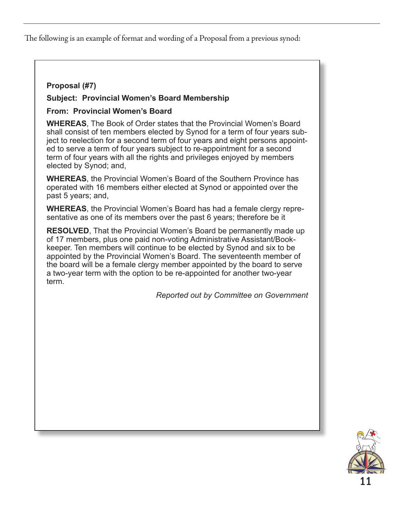The following is an example of format and wording of a Proposal from a previous synod:

# **Proposal (#7)**

# **Subject: Provincial Women's Board Membership**

# **From: Provincial Women's Board**

**WHEREAS**, The Book of Order states that the Provincial Women's Board shall consist of ten members elected by Synod for a term of four years subject to reelection for a second term of four years and eight persons appointed to serve a term of four years subject to re-appointment for a second term of four years with all the rights and privileges enjoyed by members elected by Synod; and,

**WHEREAS**, the Provincial Women's Board of the Southern Province has operated with 16 members either elected at Synod or appointed over the past 5 years; and,

**WHEREAS**, the Provincial Women's Board has had a female clergy representative as one of its members over the past 6 years; therefore be it

**RESOLVED**, That the Provincial Women's Board be permanently made up of 17 members, plus one paid non-voting Administrative Assistant/Bookkeeper. Ten members will continue to be elected by Synod and six to be appointed by the Provincial Women's Board. The seventeenth member of the board will be a female clergy member appointed by the board to serve a two-year term with the option to be re-appointed for another two-year term.

*Reported out by Committee on Government* 

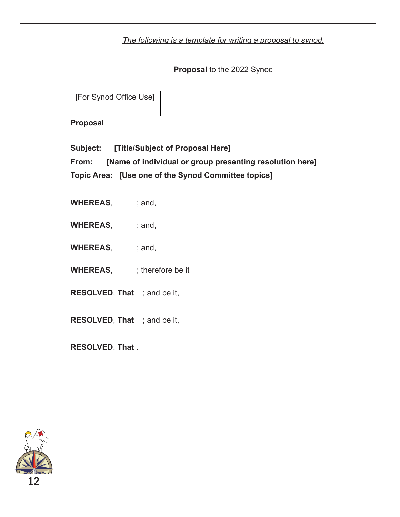#### *The following is a template for writing a proposal to synod.*

**Proposal** to the 2022 Synod

[For Synod Office Use]

**Proposal** 

- **Subject: [Title/Subject of Proposal Here] From: [Name of individual or group presenting resolution here] Topic Area: [Use one of the Synod Committee topics]**
- WHEREAS, ; and,
- WHEREAS, ; and,
- WHEREAS, ; and,
- **WHEREAS,** ; therefore be it
- **RESOLVED**, **That** ; and be it,
- **RESOLVED**, **That** ; and be it,

**RESOLVED**, **That** .

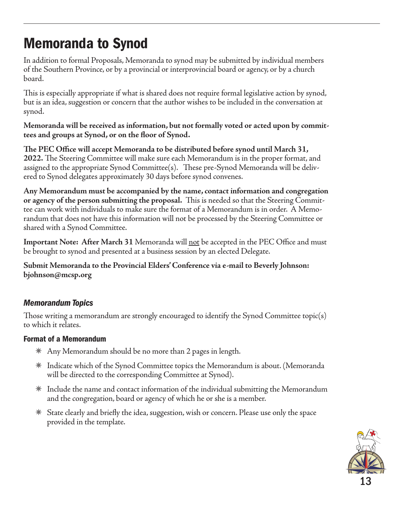# Memoranda to Synod

In addition to formal Proposals, Memoranda to synod may be submitted by individual members of the Southern Province, or by a provincial or interprovincial board or agency, or by a church board.

This is especially appropriate if what is shared does not require formal legislative action by synod, but is an idea, suggestion or concern that the author wishes to be included in the conversation at synod.

**Memoranda will be received as information, but not formally voted or acted upon by committees and groups at Synod, or on the floor of Synod.** 

**The PEC Office will accept Memoranda to be distributed before synod until March 31, 2022.** The Steering Committee will make sure each Memorandum is in the proper format, and assigned to the appropriate Synod Committee(s). These pre-Synod Memoranda will be delivered to Synod delegates approximately 30 days before synod convenes.

**Any Memorandum must be accompanied by the name, contact information and congregation or agency of the person submitting the proposal.** This is needed so that the Steering Committee can work with individuals to make sure the format of a Memorandum is in order. A Memorandum that does not have this information will not be processed by the Steering Committee or shared with a Synod Committee.

**Important Note: After March 31** Memoranda will not be accepted in the PEC Office and must be brought to synod and presented at a business session by an elected Delegate.

#### **Submit Memoranda to the Provincial Elders' Conference via e-mail to Beverly Johnson: bjohnson@mcsp.org**

# *Memorandum Topics*

Those writing a memorandum are strongly encouraged to identify the Synod Committee topic(s) to which it relates.

# Format of a Memorandum

- ✵ Any Memorandum should be no more than 2 pages in length.
- ✵ Indicate which of the Synod Committee topics the Memorandum is about. (Memoranda will be directed to the corresponding Committee at Synod).
- ✵ Include the name and contact information of the individual submitting the Memorandum and the congregation, board or agency of which he or she is a member.
- ✵ State clearly and briefly the idea, suggestion, wish or concern. Please use only the space provided in the template.

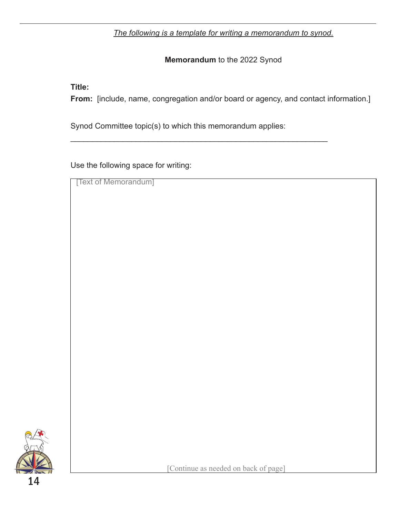*The following is a template for writing a memorandum to synod.*

**Memorandum** to the 2022 Synod

**Title:** 

**From:** [include, name, congregation and/or board or agency, and contact information.]

Synod Committee topic(s) to which this memorandum applies:

 $\overline{\phantom{a}}$  , and the contribution of the contribution of the contribution of the contribution of the contribution of the contribution of the contribution of the contribution of the contribution of the contribution of the

Use the following space for writing:

[Text of Memorandum]



[Continue as needed on back of page]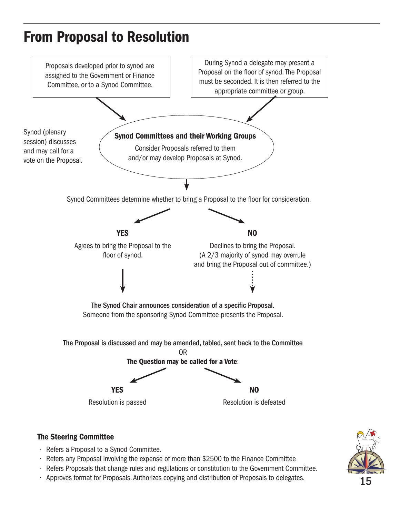# From Proposal to Resolution



#### The Steering Committee

- Refers a Proposal to a Synod Committee.
- Refers any Proposal involving the expense of more than \$2500 to the Finance Committee
- Refers Proposals that change rules and regulations or constitution to the Government Committee.
- Approves format for Proposals. Authorizes copying and distribution of Proposals to delegates.

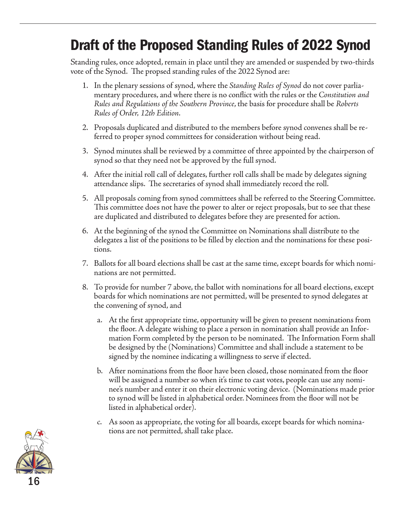# Draft of the Proposed Standing Rules of 2022 Synod

Standing rules, once adopted, remain in place until they are amended or suspended by two-thirds vote of the Synod. The propsed standing rules of the 2022 Synod are:

- 1. In the plenary sessions of synod, where the *Standing Rules of Synod* do not cover parliamentary procedures, and where there is no conflict with the rules or the *Constitution and Rules and Regulations of the Southern Province*, the basis for procedure shall be *Roberts Rules of Order, 12th Edition*.
- 2. Proposals duplicated and distributed to the members before synod convenes shall be referred to proper synod committees for consideration without being read.
- 3. Synod minutes shall be reviewed by a committee of three appointed by the chairperson of synod so that they need not be approved by the full synod.
- 4. After the initial roll call of delegates, further roll calls shall be made by delegates signing attendance slips. The secretaries of synod shall immediately record the roll.
- 5. All proposals coming from synod committees shall be referred to the Steering Committee. This committee does not have the power to alter or reject proposals, but to see that these are duplicated and distributed to delegates before they are presented for action.
- 6. At the beginning of the synod the Committee on Nominations shall distribute to the delegates a list of the positions to be filled by election and the nominations for these positions.
- 7. Ballots for all board elections shall be cast at the same time, except boards for which nominations are not permitted.
- 8. To provide for number 7 above, the ballot with nominations for all board elections, except boards for which nominations are not permitted, will be presented to synod delegates at the convening of synod, and
	- a. At the first appropriate time, opportunity will be given to present nominations from the floor. A delegate wishing to place a person in nomination shall provide an Information Form completed by the person to be nominated. The Information Form shall be designed by the (Nominations) Committee and shall include a statement to be signed by the nominee indicating a willingness to serve if elected.
	- b. After nominations from the floor have been closed, those nominated from the floor will be assigned a number so when it's time to cast votes, people can use any nominee's number and enter it on their electronic voting device. (Nominations made prior to synod will be listed in alphabetical order. Nominees from the floor will not be listed in alphabetical order).
	- c. As soon as appropriate, the voting for all boards, except boards for which nominations are not permitted, shall take place.

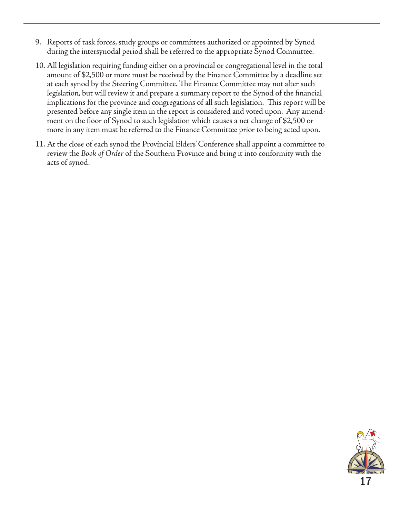- 9. Reports of task forces, study groups or committees authorized or appointed by Synod during the intersynodal period shall be referred to the appropriate Synod Committee.
- 10. All legislation requiring funding either on a provincial or congregational level in the total amount of \$2,500 or more must be received by the Finance Committee by a deadline set at each synod by the Steering Committee. The Finance Committee may not alter such legislation, but will review it and prepare a summary report to the Synod of the financial implications for the province and congregations of all such legislation. This report will be presented before any single item in the report is considered and voted upon. Any amendment on the floor of Synod to such legislation which causes a net change of \$2,500 or more in any item must be referred to the Finance Committee prior to being acted upon.
- 11. At the close of each synod the Provincial Elders' Conference shall appoint a committee to review the *Book of Order* of the Southern Province and bring it into conformity with the acts of synod.

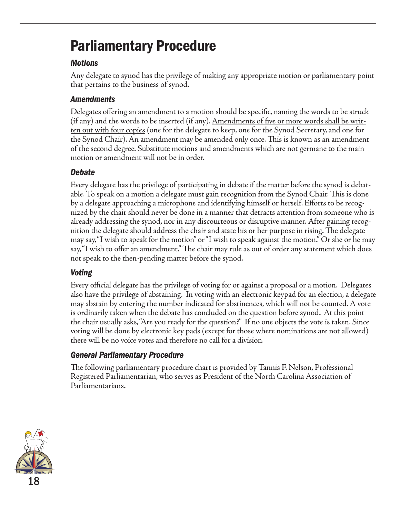# Parliamentary Procedure

# *Motions*

Any delegate to synod has the privilege of making any appropriate motion or parliamentary point that pertains to the business of synod.

# *Amendments*

Delegates offering an amendment to a motion should be specific, naming the words to be struck (if any) and the words to be inserted (if any). <u>Amendments of five or more words shall be writ-</u> <u>ten out with four copies</u> (one for the delegate to keep, one for the Synod Secretary, and one for the Synod Chair). An amendment may be amended only once. This is known as an amendment of the second degree. Substitute motions and amendments which are not germane to the main motion or amendment will not be in order.

# *Debate*

Every delegate has the privilege of participating in debate if the matter before the synod is debatable. To speak on a motion a delegate must gain recognition from the Synod Chair. This is done by a delegate approaching a microphone and identifying himself or herself. Efforts to be recognized by the chair should never be done in a manner that detracts attention from someone who is already addressing the synod, nor in any discourteous or disruptive manner. After gaining recognition the delegate should address the chair and state his or her purpose in rising. The delegate may say, "I wish to speak for the motion" or "I wish to speak against the motion." Or she or he may say, "I wish to offer an amendment." The chair may rule as out of order any statement which does not speak to the then-pending matter before the synod.

# *Voting*

Every official delegate has the privilege of voting for or against a proposal or a motion. Delegates also have the privilege of abstaining. In voting with an electronic keypad for an election, a delegate may abstain by entering the number indicated for abstinences, which will not be counted. A vote is ordinarily taken when the debate has concluded on the question before synod. At this point the chair usually asks, "Are you ready for the question?" If no one objects the vote is taken. Since voting will be done by electronic key pads (except for those where nominations are not allowed) there will be no voice votes and therefore no call for a division.

# *General Parliamentary Procedure*

The following parliamentary procedure chart is provided by Tannis F. Nelson, Professional Registered Parliamentarian, who serves as President of the North Carolina Association of Parliamentarians.

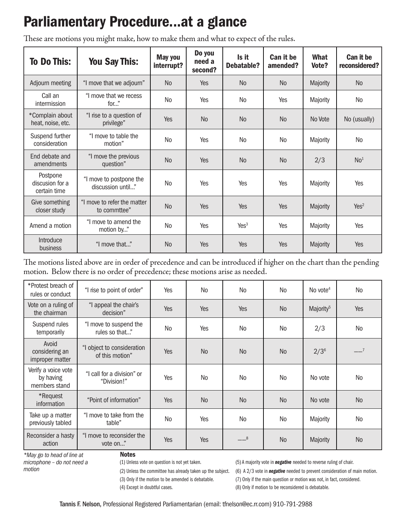# Parliamentary Procedure...at a glance

These are motions you might make, how to make them and what to expect of the rules.

| <b>To Do This:</b>                          | <b>You Say This:</b>                         | May you<br>interrupt? | Do you<br>need a<br>second? | Is it<br><b>Debatable?</b> | <b>Can it be</b><br>amended? | <b>What</b><br>Vote? | <b>Can it be</b><br>reconsidered? |
|---------------------------------------------|----------------------------------------------|-----------------------|-----------------------------|----------------------------|------------------------------|----------------------|-----------------------------------|
| Adjourn meeting                             | "I move that we adjourn"                     | N <sub>o</sub>        | <b>Yes</b>                  | <b>No</b>                  | N <sub>o</sub>               | Majority             | N <sub>o</sub>                    |
| Call an<br>intermission                     | "I move that we recess<br>for"               | <b>No</b>             | Yes                         | <b>No</b>                  | Yes                          | Majority             | No                                |
| *Complain about<br>heat, noise, etc.        | "I rise to a question of<br>privilege"       | <b>Yes</b>            | <b>No</b>                   | <b>No</b>                  | <b>No</b>                    | No Vote              | No (usually)                      |
| Suspend further<br>consideration            | "I move to table the<br>motion"              | <b>No</b>             | Yes                         | No                         | <b>No</b>                    | Majority             | No                                |
| End debate and<br>amendments                | "I move the previous<br>question"            | <b>No</b>             | Yes                         | <b>No</b>                  | <b>No</b>                    | 2/3                  | No <sup>1</sup>                   |
| Postpone<br>discusion for a<br>certain time | "I move to postpone the<br>discussion until" | <b>No</b>             | <b>Yes</b>                  | Yes                        | Yes                          | Majority             | Yes                               |
| Give something<br>closer study              | "I move to refer the matter<br>to commttee"  | <b>No</b>             | Yes                         | Yes                        | Yes                          | Majority             | Yes <sup>2</sup>                  |
| Amend a motion                              | "I move to amend the<br>motion by"           | <b>No</b>             | Yes                         | Yes <sup>3</sup>           | Yes                          | Majority             | Yes                               |
| Introduce<br>business                       | "I move that"                                | <b>No</b>             | Yes                         | Yes                        | Yes                          | Majority             | Yes                               |

The motions listed above are in order of precedence and can be introduced if higher on the chart than the pending motion. Below there is no order of precedence; these motions arise as needed.

| *Protest breach of<br>rules or conduct            | "I rise to point of order"                    | Yes | <b>No</b> | No        | No        | No vote $4$           | No        |
|---------------------------------------------------|-----------------------------------------------|-----|-----------|-----------|-----------|-----------------------|-----------|
| Vote on a ruling of<br>the chairman               | "I appeal the chair's<br>decision"            | Yes | Yes       | Yes       | <b>No</b> | Majority <sup>5</sup> | Yes       |
| Suspend rules<br>temporarily                      | "I move to suspend the<br>rules so that"      | No  | Yes       | No        | No        | 2/3                   | <b>No</b> |
| Avoid<br>considering an<br>improper matter        | "I object to consideration<br>of this motion" | Yes | <b>No</b> | <b>No</b> | <b>No</b> | $2/3^{6}$             | $-^{-7}$  |
| Verify a voice vote<br>by having<br>members stand | "I call for a division" or<br>"Division!"     | Yes | <b>No</b> | No        | No        | No vote               | <b>No</b> |
| *Request<br>information                           | "Point of information"                        | Yes | <b>No</b> | <b>No</b> | <b>No</b> | No vote               | <b>No</b> |
| Take up a matter<br>previously tabled             | "I move to take from the<br>table"            | No  | Yes       | <b>No</b> | No        | Majority              | No        |
| Reconsider a hasty<br>action                      | "I move to reconsider the<br>vote on"         | Yes | Yes       | $ ^{8}$   | <b>No</b> | Majority              | <b>No</b> |

*\*May go to head of line at* **Notes** *microphone – do not need a motion*

(1) Unless vote on question is not yet taken. (5) A majority vote in *negative* needed to reverse ruling of chair.

(2) Unless the committee has already taken up the subject. (6) A 2/3 vote in *negative* needed to prevent consideration of main motion. (3) Only if the motion to be amended is debatable. (7) Only if the main question or motion was not, in fact, considered.

(4) Except in doubtful cases. (8) Only if motion to be reconsidered is debatable.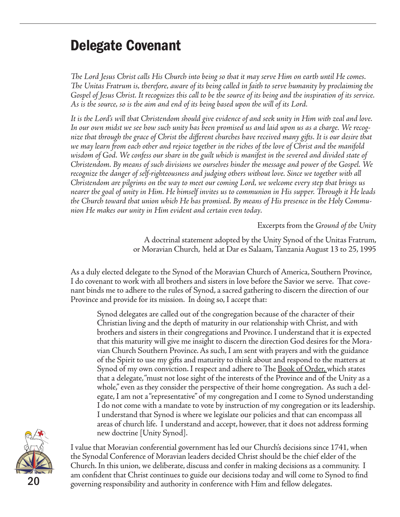# Delegate Covenant

*The Lord Jesus Christ calls His Church into being so that it may serve Him on earth until He comes. The Unitas Fratrum is, therefore, aware of its being called in faith to serve humanity by proclaiming the Gospel of Jesus Christ. It recognizes this call to be the source of its being and the inspiration of its service. As is the source, so is the aim and end of its being based upon the will of its Lord.* 

*It is the Lord's will that Christendom should give evidence of and seek unity in Him with zeal and love. In our own midst we see how such unity has been promised us and laid upon us as a charge. We recognize that through the grace of Christ the different churches have received many gifts. It is our desire that we may learn from each other and rejoice together in the riches of the love of Christ and the manifold wisdom of God. We confess our share in the guilt which is manifest in the severed and divided state of Christendom. By means of such divisions we ourselves hinder the message and power of the Gospel. We recognize the danger of self-righteousness and judging others without love. Since we together with all Christendom are pilgrims on the way to meet our coming Lord, we welcome every step that brings us nearer the goal of unity in Him. He himself invites us to communion in His supper. Through it He leads the Church toward that union which He has promised. By means of His presence in the Holy Communion He makes our unity in Him evident and certain even today.* 

Excerpts from the *Ground of the Unity*

A doctrinal statement adopted by the Unity Synod of the Unitas Fratrum, or Moravian Church, held at Dar es Salaam, Tanzania August 13 to 25, 1995

As a duly elected delegate to the Synod of the Moravian Church of America, Southern Province, I do covenant to work with all brothers and sisters in love before the Savior we serve. That covenant binds me to adhere to the rules of Synod, a sacred gathering to discern the direction of our Province and provide for its mission. In doing so, I accept that:

Synod delegates are called out of the congregation because of the character of their Christian living and the depth of maturity in our relationship with Christ, and with brothers and sisters in their congregations and Province. I understand that it is expected that this maturity will give me insight to discern the direction God desires for the Moravian Church Southern Province. As such, I am sent with prayers and with the guidance of the Spirit to use my gifts and maturity to think about and respond to the matters at Synod of my own conviction. I respect and adhere to The <u>Book of Order,</u> which states that a delegate, "must not lose sight of the interests of the Province and of the Unity as a whole," even as they consider the perspective of their home congregation. As such a delegate, I am not a "representative" of my congregation and I come to Synod understanding I do not come with a mandate to vote by instruction of my congregation or its leadership. I understand that Synod is where we legislate our policies and that can encompass all areas of church life. I understand and accept, however, that it does not address forming new doctrine [Unity Synod].



I value that Moravian conferential government has led our Church's decisions since 1741, when the Synodal Conference of Moravian leaders decided Christ should be the chief elder of the Church. In this union, we deliberate, discuss and confer in making decisions as a community. I am confident that Christ continues to guide our decisions today and will come to Synod to find governing responsibility and authority in conference with Him and fellow delegates.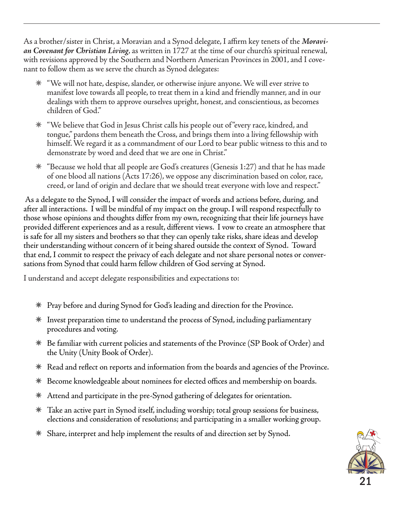As a brother/sister in Christ, a Moravian and a Synod delegate, I affirm key tenets of the *Moravian Covenant for Christian Living*, as written in 1727 at the time of our church's spiritual renewal, with revisions approved by the Southern and Northern American Provinces in 2001, and I covenant to follow them as we serve the church as Synod delegates:

- ✵ "We will not hate, despise, slander, or otherwise injure anyone. We will ever strive to manifest love towards all people, to treat them in a kind and friendly manner, and in our dealings with them to approve ourselves upright, honest, and conscientious, as becomes children of God."
- ✵ "We believe that God in Jesus Christ calls his people out of "every race, kindred, and tongue," pardons them beneath the Cross, and brings them into a living fellowship with himself. We regard it as a commandment of our Lord to bear public witness to this and to demonstrate by word and deed that we are one in Christ."
- ✵ "Because we hold that all people are God's creatures (Genesis 1:27) and that he has made of one blood all nations (Acts 17:26), we oppose any discrimination based on color, race, creed, or land of origin and declare that we should treat everyone with love and respect."

As a delegate to the Synod, I will consider the impact of words and actions before, during, and after all interactions. I will be mindful of my impact on the group. I will respond respectfully to those whose opinions and thoughts differ from my own, recognizing that their life journeys have provided different experiences and as a result, different views. I vow to create an atmosphere that is safe for all my sisters and brothers so that they can openly take risks, share ideas and develop their understanding without concern of it being shared outside the context of Synod. Toward that end, I commit to respect the privacy of each delegate and not share personal notes or conversations from Synod that could harm fellow children of God serving at Synod.

I understand and accept delegate responsibilities and expectations to:

- ✵ Pray before and during Synod for God's leading and direction for the Province.
- ✵ Invest preparation time to understand the process of Synod, including parliamentary procedures and voting.
- ✵ Be familiar with current policies and statements of the Province (SP Book of Order) and the Unity (Unity Book of Order).
- ✵ Read and reflect on reports and information from the boards and agencies of the Province.
- ✵ Become knowledgeable about nominees for elected offices and membership on boards.
- ✵ Attend and participate in the pre-Synod gathering of delegates for orientation.
- ✵ Take an active part in Synod itself, including worship; total group sessions for business, elections and consideration of resolutions; and participating in a smaller working group.
- ✵ Share, interpret and help implement the results of and direction set by Synod.

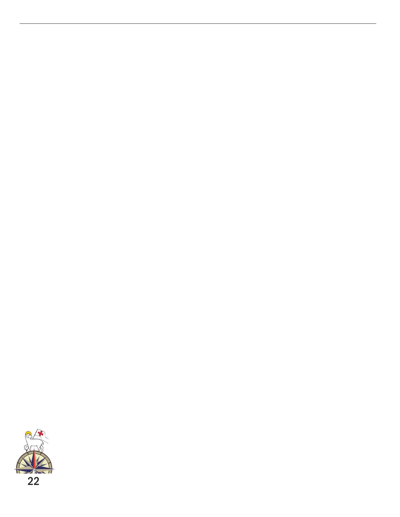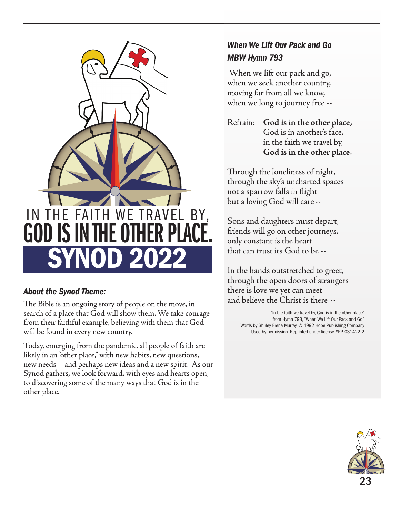

# *About the Synod Theme:*

The Bible is an ongoing story of people on the move, in search of a place that God will show them. We take courage from their faithful example, believing with them that God will be found in every new country.

Today, emerging from the pandemic, all people of faith are likely in an "other place," with new habits, new questions, new needs—and perhaps new ideas and a new spirit. As our Synod gathers, we look forward, with eyes and hearts open, to discovering some of the many ways that God is in the other place.

# *When We Lift Our Pack and Go MBW Hymn 793*

 When we lift our pack and go, when we seek another country, moving far from all we know, when we long to journey free  $-$ 

Refrain: **God is in the other place,** God is in another's face, in the faith we travel by, **God is in the other place.**

Through the loneliness of night, through the sky's uncharted spaces not a sparrow falls in flight but a loving God will care --

Sons and daughters must depart, friends will go on other journeys, only constant is the heart that can trust its God to be --

In the hands outstretched to greet, through the open doors of strangers there is love we yet can meet and believe the Christ is there --

"In the faith we travel by, God is in the other place" from Hymn 793, "When We Lift Our Pack and Go." Words by Shirley Erena Murray, © 1992 Hope Publishing Company Used by permission. Reprinted under license #RP-031422-2